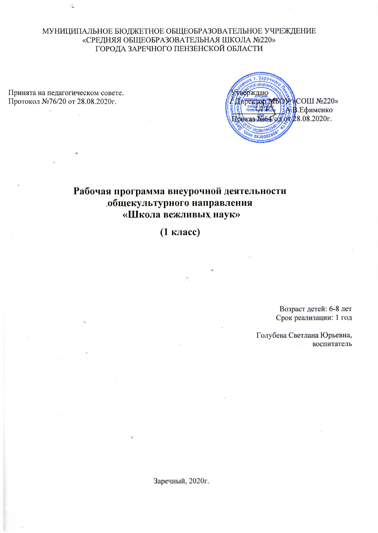МУНИЦИПАЛЬНОЕ БЮДЖЕТНОЕ ОБЩЕОБРАЗОВАТЕЛЬНОЕ УЧРЕЖДЕНИЕ «СРЕДНЯЯ ОБЩЕОБРАЗОВАТЕЛЬНАЯ ШКОЛА №220» ГОРОДА ЗАРЕЧНОГО ПЕНЗЕНСКОЙ ОБЛАСТИ

Принята на педагогическом совете. Протокол №76/20 от 28.08.2020г.

d.



# Рабочая программа внеурочной деятельности общекультурного направления «Школа вежливых наук»

(1 класс)

Возраст детей: 6-8 лет Срок реализации: 1 год

Голубева Светлана Юрьевна, воспитатель

Заречный, 2020г.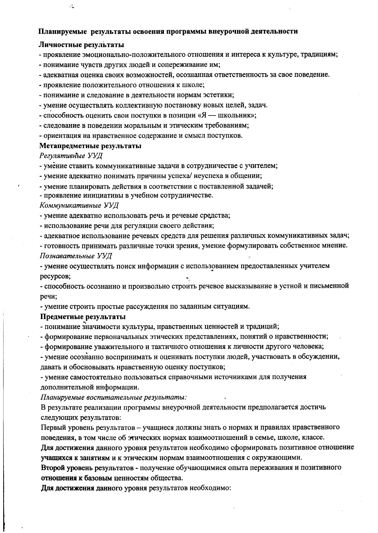#### Планируемые результаты освоения программы внеурочной деятельности

#### Личностные результаты

يتد

- проявление эмоционально-положительного отношения и интереса к культуре, традициям;

- понимание чувств других людей и сопереживание им;

- адекватная оценка своих возможностей, осознанная ответственность за свое поведение.
- проявление положительного отношения к школе;
- понимание и следование в деятельности нормам эстетики;
- умение осуществлять коллективную постановку новых целей, задач.
- способность оценить свои поступки в позиции «Я школьник»;
- следование в поведении моральным и этическим требованиям;
- ориентация на нравственное содержание и смысл поступков.

#### Метапредметные результаты

Регулятивные УУД

- умение ставить коммуникативные задачи в сотрудничестве с учителем;

- умение адекватно понимать причины успеха/ неуспеха в общении;

- умение планировать действия в соответствии с поставленной задачей;

- проявление инициативы в учебном сотрудничестве.

#### Коммуникативные УУД

- умение адекватно использовать речь и речевые средства;

- использование речи для регуляции своего действия;

- адекватное использование речевых средств для решения различных коммуникативных задач;

- готовность принимать различные точки зрения, умение формулировать собственное мнение. Познавательные УУД

- умение осуществлять поиск информации с использованием предоставленных учителем ресурсов;

- способность осознанно и произвольно строить речевое высказывание в устной и письменной речи:

- умение строить простые рассуждения по заданным ситуациям.

#### Предметные результаты

- понимание значимости культуры, нравственных ценностей и традиций;

- формирование первоначальных этических представлениях, понятий о нравственности;

- формирование уважительного и тактичного отношения к личности другого человека;

- умение осознанно воспринимать и оценивать поступки людей, участвовать в обсуждении, давать и обосновывать нравственную оценку поступков;

- умение самостоятельно пользоваться справочными источниками для получения дополнительной информации.

Планируемые воспитательные результаты:

В результате реализации программы внеурочной деятельности предполагается достичь следующих результатов:

Первый уровень результатов - учащиеся должны знать о нормах и правилах нравственного поведения, в том числе об этических нормах взаимоотношений в семье, школе, классе.

Для достижения данного уровня результатов необходимо сформировать позитивное отношение учащихся к занятиям и к этическим нормам взаимоотношения с окружающими.

Второй уровень результатов - получение обучающимися опыта переживания и позитивного отношения к базовым ценностям общества.

Для достижения данного уровня результатов необходимо: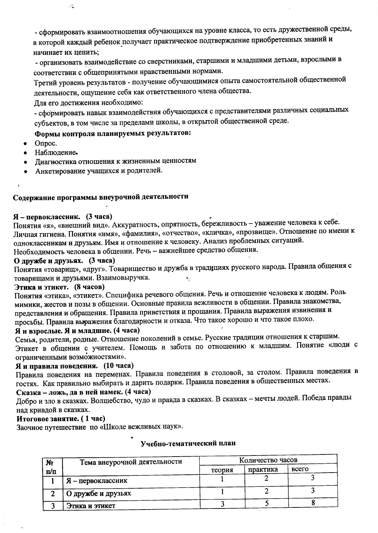- сформировать взаимоотношения обучающихся на уровне класса, то есть дружественной среды, в которой каждый ребенок получает практическое подтверждение приобретенных знаний и начинает их ценить:

- организовать взаимодействие со сверстниками, старшими и младшими детьми, взрослыми в соответствии с общепринятыми нравственными нормами.

Третий уровень результатов - получение обучающимися опыта самостоятельной общественной деятельности, ощущение себя как ответственного члена общества.

Для его достижения необходимо:

 $\mathcal{L}$ 

- сформировать навык взаимодействия обучающихся с представителями различных социальных субъектов, в том числе за пределами школы, в открытой общественной среде.

# Формы контроля планируемых результатов:

- Опрос.
- Наблюдение.
- Диагностика отношения к жизненным ценностям
- Анкетирование учащихся и родителей.

# Содержание программы внеурочной деятельности

## Я - первоклассник. (3 часа)

Понятия «я», «внешний вид». Аккуратность, опрятность, бережливость - уважение человека к себе. Личная гигиена. Понятия «имя», «фамилия», «отчество», «кличка», «прозвище». Отношение по имени к одноклассникам и друзьям. Имя и отношение к человеку. Анализ проблемных ситуаций. Необходимость человека в общении. Речь - важнейшее средство общения.

О дружбе и друзьях. (3 часа)

Понятия «товарищ», «друг». Товарищество и дружба в традициях русского народа. Правила общения с товарищами и друзьями. Взаимовыручка.

# Этика и этикет. (8 часов)

Понятия «этика», «этикет». Специфика речевого общения. Речь и отношение человека к людям. Роль мимики, жестов и позы в общении. Основные правила вежливости в общении. Правила знакомства, представления и обращения. Правила приветствия и прощания. Правила выражения извинения и просьбы. Правила выражения благодарности и отказа. Что такое хорошо и что такое плохо.

## Я и взрослые. Я и младшие. (4 часа)

Семья, родители, родные. Отношение поколений в семье. Русские традиции отношения к старшим. Этикет в общении с учителем. Помощь и забота по отношению к младшим. Понятие «люди с ограниченными возможностями».

## Я и правила поведения. (10 часа)

Правила поведения на переменах. Правила поведения в столовой, за столом. Правила поведения в гостях. Как правильно выбирать и дарить подарки. Правила поведения в общественных местах.

# Сказка - ложь, да в ней намек. (4 часа)

Добро и зло в сказках. Волшебство, чудо и правда в сказках. В сказках - мечты людей. Победа правды над кривдой в сказках.

## Итоговое занятие. (1 час)

Заочное путешествие по «Школе вежливых наук».

| No  | Тема внеурочной деятельности | Количество часов |          |       |  |
|-----|------------------------------|------------------|----------|-------|--|
| п/п |                              | теория           | практика | всего |  |
|     | $A$ — первоклассник          |                  |          |       |  |
|     | О дружбе и друзьях           |                  |          |       |  |
|     | Этика и этикет               |                  |          |       |  |

## Учебно-тематический план